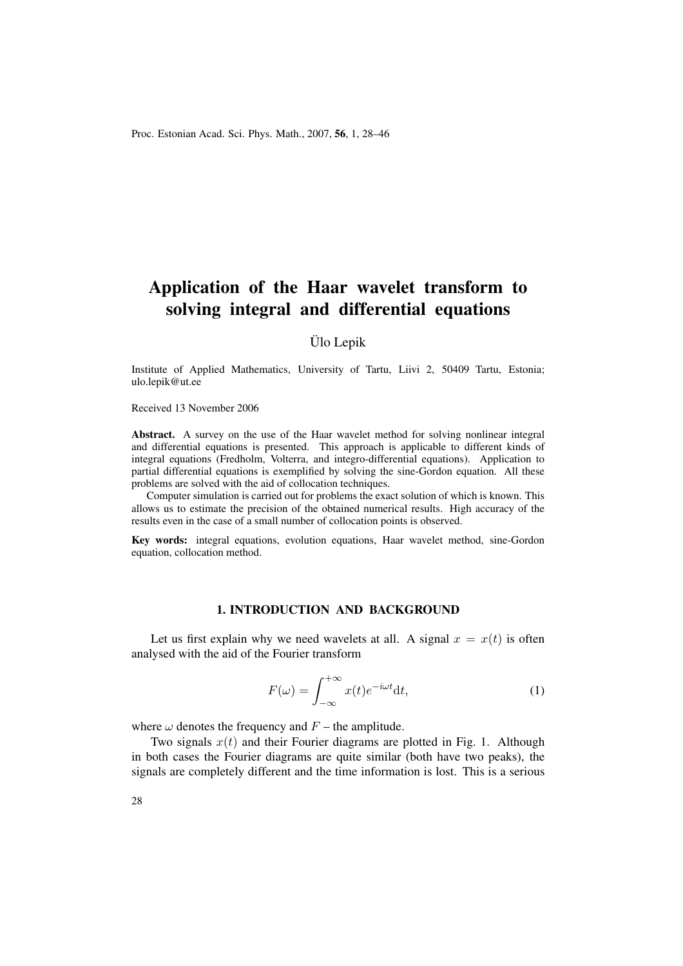Proc. Estonian Acad. Sci. Phys. Math., 2007, 56, 1, 28–46

# Application of the Haar wavelet transform to solving integral and differential equations

Ülo Lepik

Institute of Applied Mathematics, University of Tartu, Liivi 2, 50409 Tartu, Estonia; ulo.lepik@ut.ee

Received 13 November 2006

Abstract. A survey on the use of the Haar wavelet method for solving nonlinear integral and differential equations is presented. This approach is applicable to different kinds of integral equations (Fredholm, Volterra, and integro-differential equations). Application to partial differential equations is exemplified by solving the sine-Gordon equation. All these problems are solved with the aid of collocation techniques.

Computer simulation is carried out for problems the exact solution of which is known. This allows us to estimate the precision of the obtained numerical results. High accuracy of the results even in the case of a small number of collocation points is observed.

Key words: integral equations, evolution equations, Haar wavelet method, sine-Gordon equation, collocation method.

#### 1. INTRODUCTION AND BACKGROUND

Let us first explain why we need wavelets at all. A signal  $x = x(t)$  is often analysed with the aid of the Fourier transform

$$
F(\omega) = \int_{-\infty}^{+\infty} x(t)e^{-i\omega t}dt,
$$
\n(1)

where  $\omega$  denotes the frequency and  $F$  – the amplitude.

Two signals  $x(t)$  and their Fourier diagrams are plotted in Fig. 1. Although in both cases the Fourier diagrams are quite similar (both have two peaks), the signals are completely different and the time information is lost. This is a serious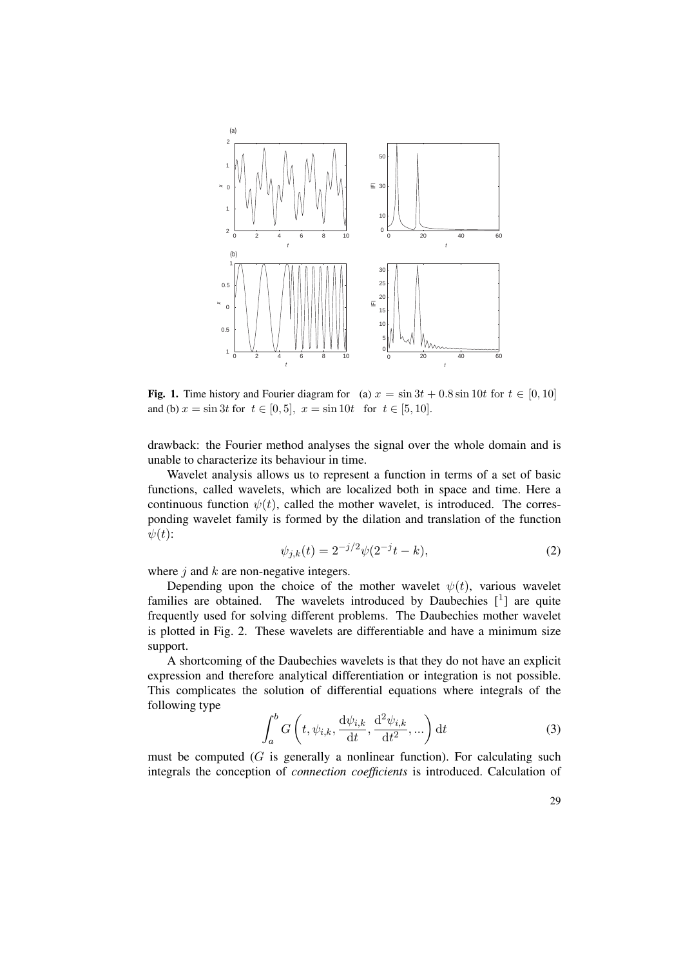

Fig. 1. Time history and Fourier diagram for (a)  $x = \sin 3t + 0.8 \sin 10t$  for  $t \in [0, 10]$ and (b)  $x = \sin 3t$  for  $t \in [0, 5]$ ,  $x = \sin 10t$  for  $t \in [5, 10]$ .

drawback: the Fourier method analyses the signal over the whole domain and is unable to characterize its behaviour in time.

Wavelet analysis allows us to represent a function in terms of a set of basic functions, called wavelets, which are localized both in space and time. Here a continuous function  $\psi(t)$ , called the mother wavelet, is introduced. The corresponding wavelet family is formed by the dilation and translation of the function  $\psi(t)$ :

$$
\psi_{j,k}(t) = 2^{-j/2}\psi(2^{-j}t - k),\tag{2}
$$

where  $j$  and  $k$  are non-negative integers.

Depending upon the choice of the mother wavelet  $\psi(t)$ , various wavelet families are obtained. The wavelets introduced by Daubechies  $[1]$  are quite frequently used for solving different problems. The Daubechies mother wavelet is plotted in Fig. 2. These wavelets are differentiable and have a minimum size support.

A shortcoming of the Daubechies wavelets is that they do not have an explicit expression and therefore analytical differentiation or integration is not possible. This complicates the solution of differential equations where integrals of the following type  $\overline{a}$ 

$$
\int_{a}^{b} G\left(t, \psi_{i,k}, \frac{\mathrm{d}\psi_{i,k}}{\mathrm{d}t}, \frac{\mathrm{d}^2\psi_{i,k}}{\mathrm{d}t^2}, \dots\right) \mathrm{d}t \tag{3}
$$

must be computed  $(G$  is generally a nonlinear function). For calculating such integrals the conception of *connection coefficients* is introduced. Calculation of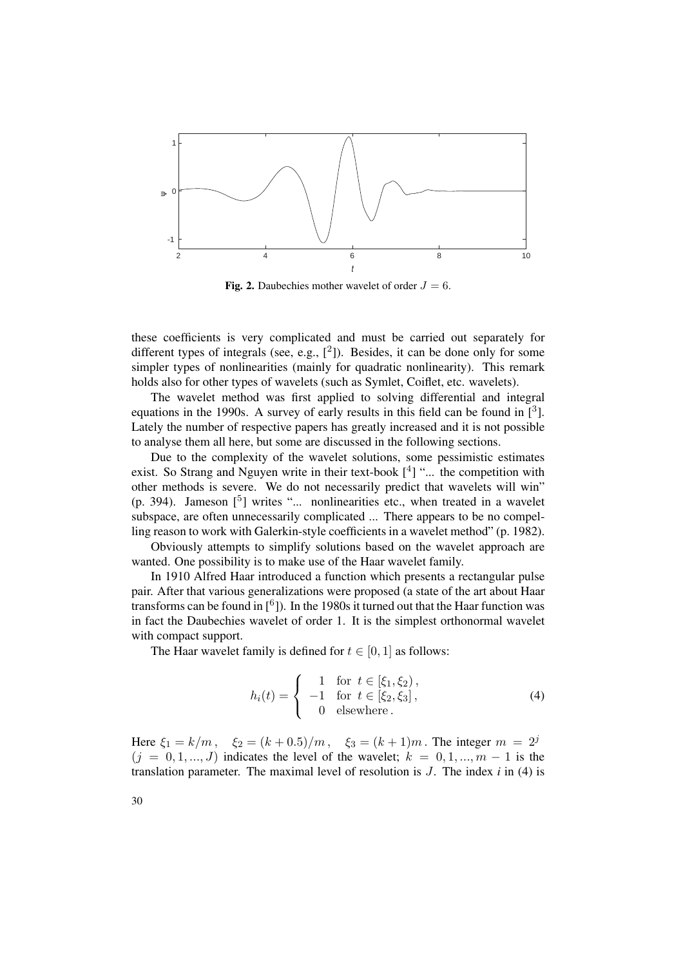

Fig. 2. Daubechies mother wavelet of order  $J = 6$ .

these coefficients is very complicated and must be carried out separately for different types of integrals (see, e.g.,  $[^2]$ ). Besides, it can be done only for some simpler types of nonlinearities (mainly for quadratic nonlinearity). This remark holds also for other types of wavelets (such as Symlet, Coiflet, etc. wavelets).

The wavelet method was first applied to solving differential and integral equations in the 1990s. A survey of early results in this field can be found in  $\left[3\right]$ . Lately the number of respective papers has greatly increased and it is not possible to analyse them all here, but some are discussed in the following sections.

Due to the complexity of the wavelet solutions, some pessimistic estimates exist. So Strang and Nguyen write in their text-book  $[4]$  "... the competition with other methods is severe. We do not necessarily predict that wavelets will win" (p. 394). Jameson  $\left[5\right]$  writes "... nonlinearities etc., when treated in a wavelet subspace, are often unnecessarily complicated ... There appears to be no compelling reason to work with Galerkin-style coefficients in a wavelet method" (p. 1982).

Obviously attempts to simplify solutions based on the wavelet approach are wanted. One possibility is to make use of the Haar wavelet family.

In 1910 Alfred Haar introduced a function which presents a rectangular pulse pair. After that various generalizations were proposed (a state of the art about Haar transforms can be found in  $[6]$ ). In the 1980s it turned out that the Haar function was in fact the Daubechies wavelet of order 1. It is the simplest orthonormal wavelet with compact support.

The Haar wavelet family is defined for  $t \in [0, 1]$  as follows:

$$
h_i(t) = \begin{cases} 1 & \text{for } t \in [\xi_1, \xi_2), \\ -1 & \text{for } t \in [\xi_2, \xi_3], \\ 0 & \text{elsewhere.} \end{cases}
$$
 (4)

Here  $\xi_1 = k/m$ ,  $\xi_2 = (k+0.5)/m$ ,  $\xi_3 = (k+1)m$ . The integer  $m = 2^j$  $(j = 0, 1, ..., J)$  indicates the level of the wavelet;  $k = 0, 1, ..., m - 1$  is the translation parameter. The maximal level of resolution is J. The index *i* in (4) is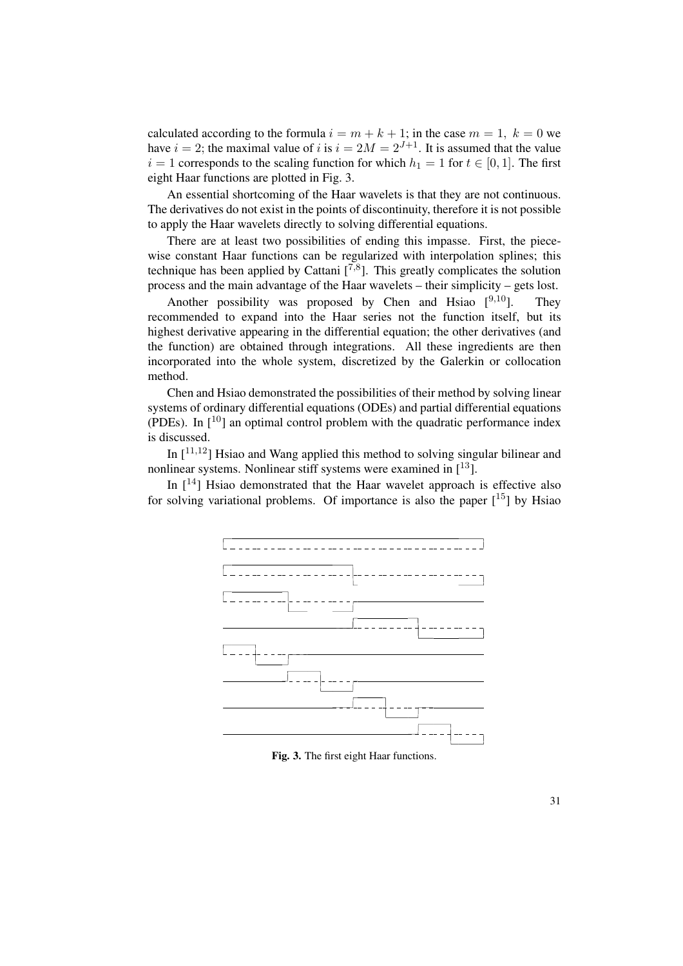calculated according to the formula  $i = m + k + 1$ ; in the case  $m = 1, k = 0$  we have  $i = 2$ ; the maximal value of i is  $i = 2M = 2^{J+1}$ . It is assumed that the value  $i = 1$  corresponds to the scaling function for which  $h_1 = 1$  for  $t \in [0, 1]$ . The first eight Haar functions are plotted in Fig. 3.

An essential shortcoming of the Haar wavelets is that they are not continuous. The derivatives do not exist in the points of discontinuity, therefore it is not possible to apply the Haar wavelets directly to solving differential equations.

There are at least two possibilities of ending this impasse. First, the piecewise constant Haar functions can be regularized with interpolation splines; this technique has been applied by Cattani  $[7,8]$ . This greatly complicates the solution process and the main advantage of the Haar wavelets – their simplicity – gets lost.

Another possibility was proposed by Chen and Hsiao  $[9,10]$ . They recommended to expand into the Haar series not the function itself, but its highest derivative appearing in the differential equation; the other derivatives (and the function) are obtained through integrations. All these ingredients are then incorporated into the whole system, discretized by the Galerkin or collocation method.

Chen and Hsiao demonstrated the possibilities of their method by solving linear systems of ordinary differential equations (ODEs) and partial differential equations (PDEs). In  $\lceil 10 \rceil$  an optimal control problem with the quadratic performance index is discussed.

In  $[11,12]$  Hsiao and Wang applied this method to solving singular bilinear and nonlinear systems. Nonlinear stiff systems were examined in  $[13]$ .

In  $[14]$  Hsiao demonstrated that the Haar wavelet approach is effective also for solving variational problems. Of importance is also the paper  $[15]$  by Hsiao



Fig. 3. The first eight Haar functions.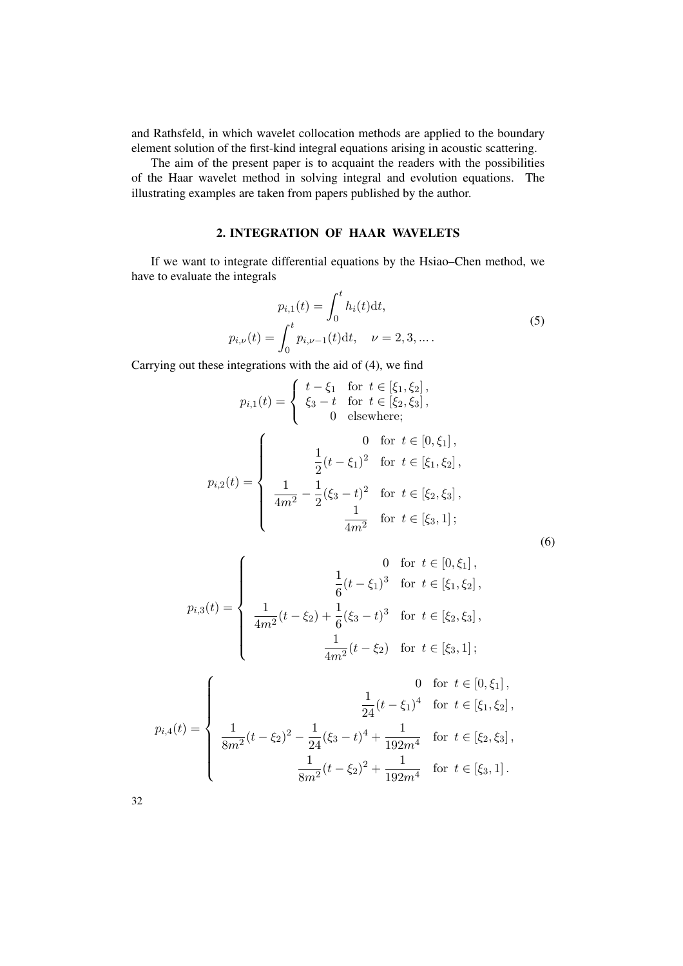and Rathsfeld, in which wavelet collocation methods are applied to the boundary element solution of the first-kind integral equations arising in acoustic scattering.

The aim of the present paper is to acquaint the readers with the possibilities of the Haar wavelet method in solving integral and evolution equations. The illustrating examples are taken from papers published by the author.

## 2. INTEGRATION OF HAAR WAVELETS

If we want to integrate differential equations by the Hsiao–Chen method, we have to evaluate the integrals

$$
p_{i,1}(t) = \int_0^t h_i(t) dt,
$$
  
\n
$$
p_{i,\nu}(t) = \int_0^t p_{i,\nu-1}(t) dt, \quad \nu = 2, 3, ....
$$
\n(5)

Carrying out these integrations with the aid of (4), we find

$$
p_{i,1}(t) = \begin{cases} t - \xi_1 & \text{for } t \in [\xi_1, \xi_2], \\ \xi_3 - t & \text{for } t \in [\xi_2, \xi_3], \\ 0 & \text{elsewhere}; \end{cases}
$$
\n
$$
p_{i,2}(t) = \begin{cases} 0 & \text{for } t \in [0, \xi_1], \\ \frac{1}{2}(t - \xi_1)^2 & \text{for } t \in [\xi_1, \xi_2], \\ \frac{1}{4m^2} - \frac{1}{2}(\xi_3 - t)^2 & \text{for } t \in [\xi_2, \xi_3], \\ \frac{1}{4m^2} & \text{for } t \in [\xi_3, 1]; \end{cases}
$$

$$
(6)
$$

$$
p_{i,3}(t) = \begin{cases} 0 & \text{for } t \in [0, \xi_1], \\ \frac{1}{6}(t - \xi_1)^3 & \text{for } t \in [\xi_1, \xi_2], \\ \frac{1}{4m^2}(t - \xi_2) + \frac{1}{6}(\xi_3 - t)^3 & \text{for } t \in [\xi_2, \xi_3], \\ \frac{1}{4m^2}(t - \xi_2) & \text{for } t \in [\xi_3, 1]; \end{cases}
$$

$$
p_{i,4}(t) = \begin{cases} 0 & \text{for } t \in [0,\xi_1], \\ \frac{1}{24}(t-\xi_1)^4 & \text{for } t \in [\xi_1,\xi_2], \\ \frac{1}{8m^2}(t-\xi_2)^2 - \frac{1}{24}(\xi_3 - t)^4 + \frac{1}{192m^4} & \text{for } t \in [\xi_2,\xi_3], \\ \frac{1}{8m^2}(t-\xi_2)^2 + \frac{1}{192m^4} & \text{for } t \in [\xi_3,1]. \end{cases}
$$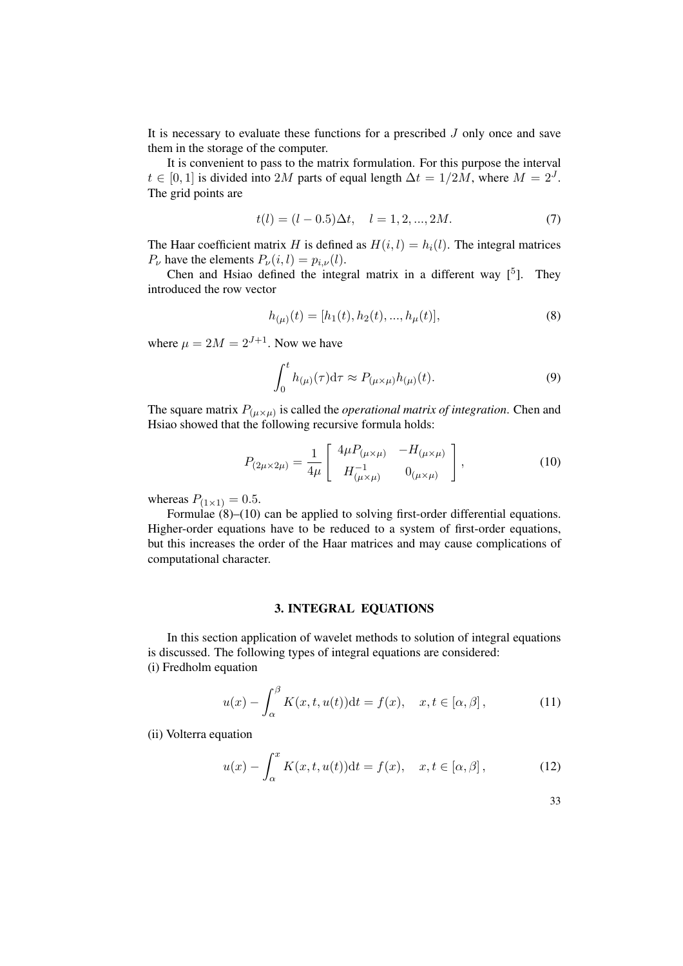It is necessary to evaluate these functions for a prescribed  $J$  only once and save them in the storage of the computer.

It is convenient to pass to the matrix formulation. For this purpose the interval  $t \in [0, 1]$  is divided into 2M parts of equal length  $\Delta t = 1/2M$ , where  $M = 2^J$ . The grid points are

$$
t(l) = (l - 0.5)\Delta t, \quad l = 1, 2, ..., 2M.
$$
 (7)

The Haar coefficient matrix H is defined as  $H(i, l) = h<sub>i</sub>(l)$ . The integral matrices  $P_{\nu}$  have the elements  $P_{\nu}(i, l) = p_{i, \nu}(l)$ .

Chen and Hsiao defined the integral matrix in a different way  $[5]$ . They introduced the row vector

$$
h_{(\mu)}(t) = [h_1(t), h_2(t), ..., h_{\mu}(t)],
$$
\n(8)

where  $\mu = 2M = 2^{J+1}$ . Now we have

$$
\int_0^t h_{(\mu)}(\tau) d\tau \approx P_{(\mu \times \mu)} h_{(\mu)}(t).
$$
\n(9)

The square matrix  $P_{(\mu \times \mu)}$  is called the *operational matrix of integration*. Chen and Hsiao showed that the following recursive formula holds:

$$
P_{(2\mu \times 2\mu)} = \frac{1}{4\mu} \begin{bmatrix} 4\mu P_{(\mu \times \mu)} & -H_{(\mu \times \mu)} \\ H_{(\mu \times \mu)}^{-1} & 0_{(\mu \times \mu)} \end{bmatrix},
$$
(10)

whereas  $P_{(1\times1)} = 0.5$ .

Formulae  $(8)$ – $(10)$  can be applied to solving first-order differential equations. Higher-order equations have to be reduced to a system of first-order equations, but this increases the order of the Haar matrices and may cause complications of computational character.

#### 3. INTEGRAL EQUATIONS

In this section application of wavelet methods to solution of integral equations is discussed. The following types of integral equations are considered: (i) Fredholm equation

$$
u(x) - \int_{\alpha}^{\beta} K(x, t, u(t)) dt = f(x), \quad x, t \in [\alpha, \beta],
$$
 (11)

(ii) Volterra equation

$$
u(x) - \int_{\alpha}^{x} K(x, t, u(t)) dt = f(x), \quad x, t \in [\alpha, \beta],
$$
 (12)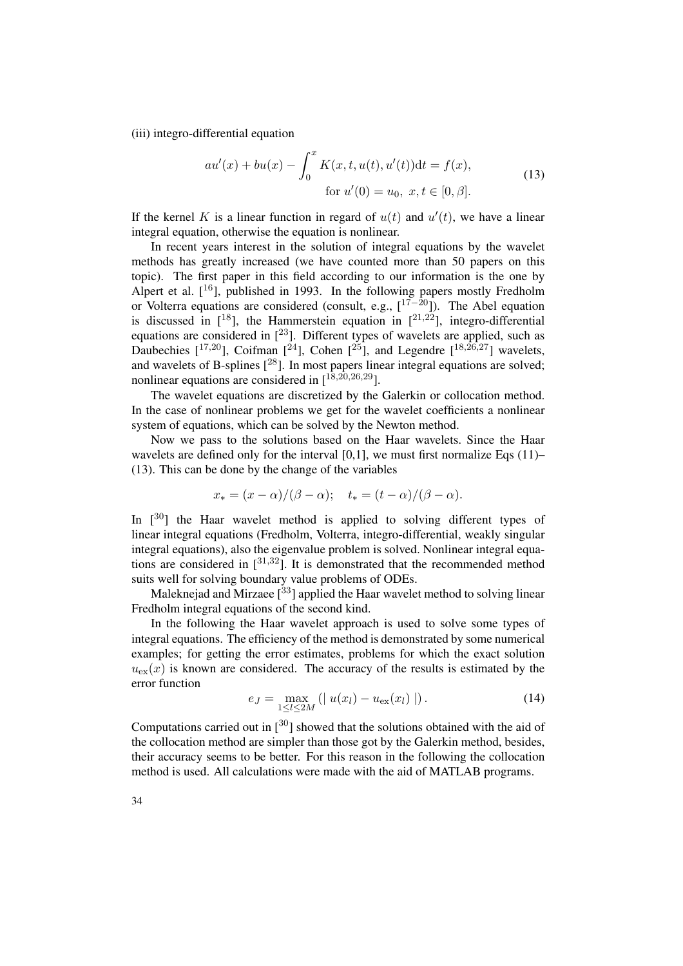(iii) integro-differential equation

$$
au'(x) + bu(x) - \int_0^x K(x, t, u(t), u'(t))dt = f(x),
$$
  
for  $u'(0) = u_0, x, t \in [0, \beta].$  (13)

If the kernel K is a linear function in regard of  $u(t)$  and  $u'(t)$ , we have a linear integral equation, otherwise the equation is nonlinear.

In recent years interest in the solution of integral equations by the wavelet methods has greatly increased (we have counted more than 50 papers on this topic). The first paper in this field according to our information is the one by Alpert et al.  $[16]$ , published in 1993. In the following papers mostly Fredholm or Volterra equations are considered (consult, e.g.,  $[17-20]$ ). The Abel equation is discussed in  $[18]$ , the Hammerstein equation in  $[21,22]$ , integro-differential equations are considered in [23]. Different types of wavelets are applied, such as Daubechies  $[1^{17,20}]$ , Coifman  $[2^2]$ , Cohen  $[2^5]$ , and Legendre  $[1^{18,26,27}]$  wavelets, and wavelets of B-splines  $[28]$ . In most papers linear integral equations are solved; nonlinear equations are considered in  $\left[1^{\hat{8},\hat{20},26,29}\right]$ .

The wavelet equations are discretized by the Galerkin or collocation method. In the case of nonlinear problems we get for the wavelet coefficients a nonlinear system of equations, which can be solved by the Newton method.

Now we pass to the solutions based on the Haar wavelets. Since the Haar wavelets are defined only for the interval  $[0,1]$ , we must first normalize Eqs  $(11)$ – (13). This can be done by the change of the variables

$$
x_* = (x - \alpha)/(\beta - \alpha); \quad t_* = (t - \alpha)/(\beta - \alpha).
$$

In  $\lceil 30 \rceil$  the Haar wavelet method is applied to solving different types of linear integral equations (Fredholm, Volterra, integro-differential, weakly singular integral equations), also the eigenvalue problem is solved. Nonlinear integral equations are considered in  $\lceil 3^{31,32} \rceil$ . It is demonstrated that the recommended method suits well for solving boundary value problems of ODEs.

Maleknejad and Mirzaee  $\lceil^{33}\rceil$  applied the Haar wavelet method to solving linear Fredholm integral equations of the second kind.

In the following the Haar wavelet approach is used to solve some types of integral equations. The efficiency of the method is demonstrated by some numerical examples; for getting the error estimates, problems for which the exact solution  $u_{\text{ex}}(x)$  is known are considered. The accuracy of the results is estimated by the error function

$$
e_J = \max_{1 \le l \le 2M} (|u(x_l) - u_{\text{ex}}(x_l)|).
$$
 (14)

Computations carried out in  $[30]$  showed that the solutions obtained with the aid of the collocation method are simpler than those got by the Galerkin method, besides, their accuracy seems to be better. For this reason in the following the collocation method is used. All calculations were made with the aid of MATLAB programs.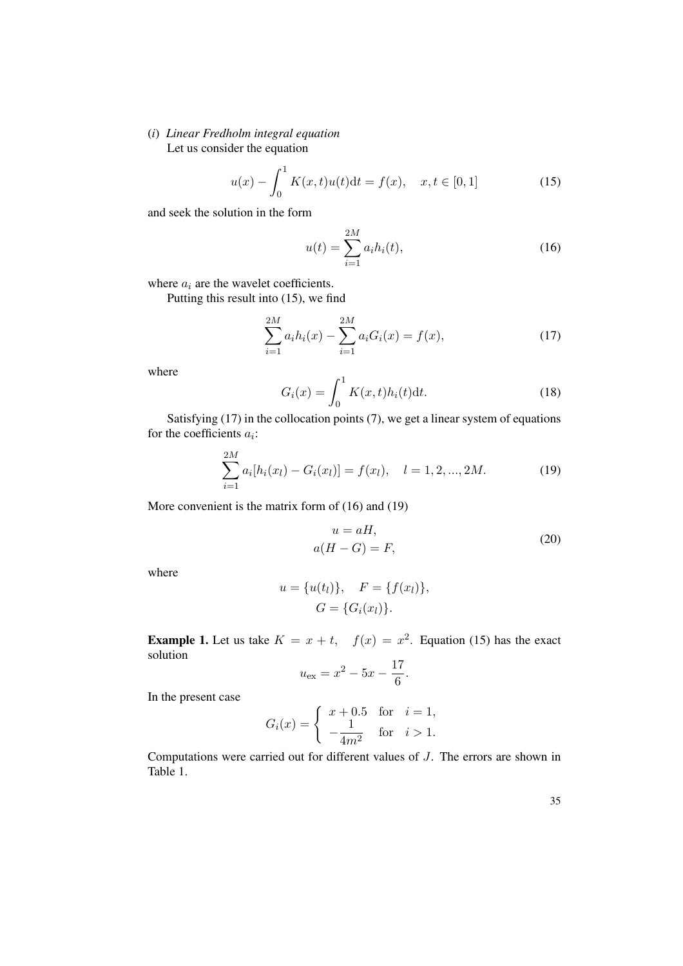## (*i*) *Linear Fredholm integral equation* Let us consider the equation

$$
u(x) - \int_0^1 K(x, t)u(t)dt = f(x), \quad x, t \in [0, 1]
$$
 (15)

and seek the solution in the form

$$
u(t) = \sum_{i=1}^{2M} a_i h_i(t),
$$
\n(16)

where  $a_i$  are the wavelet coefficients.

Putting this result into (15), we find

$$
\sum_{i=1}^{2M} a_i h_i(x) - \sum_{i=1}^{2M} a_i G_i(x) = f(x),
$$
\n(17)

where

$$
G_i(x) = \int_0^1 K(x, t)h_i(t)dt.
$$
 (18)

Satisfying (17) in the collocation points (7), we get a linear system of equations for the coefficients  $a_i$ :

$$
\sum_{i=1}^{2M} a_i[h_i(x_l) - G_i(x_l)] = f(x_l), \quad l = 1, 2, ..., 2M.
$$
 (19)

More convenient is the matrix form of (16) and (19)

$$
u = aH,
$$
  
\n
$$
a(H - G) = F,
$$
\n(20)

where

$$
u = \{u(t_l)\}, \quad F = \{f(x_l)\},
$$
  

$$
G = \{G_i(x_l)\}.
$$

**Example 1.** Let us take  $K = x + t$ ,  $f(x) = x^2$ . Equation (15) has the exact solution

$$
u_{\text{ex}} = x^2 - 5x - \frac{17}{6}.
$$

In the present case

$$
G_i(x) = \begin{cases} x + 0.5 & \text{for } i = 1, \\ -\frac{1}{4m^2} & \text{for } i > 1. \end{cases}
$$

Computations were carried out for different values of J. The errors are shown in Table 1.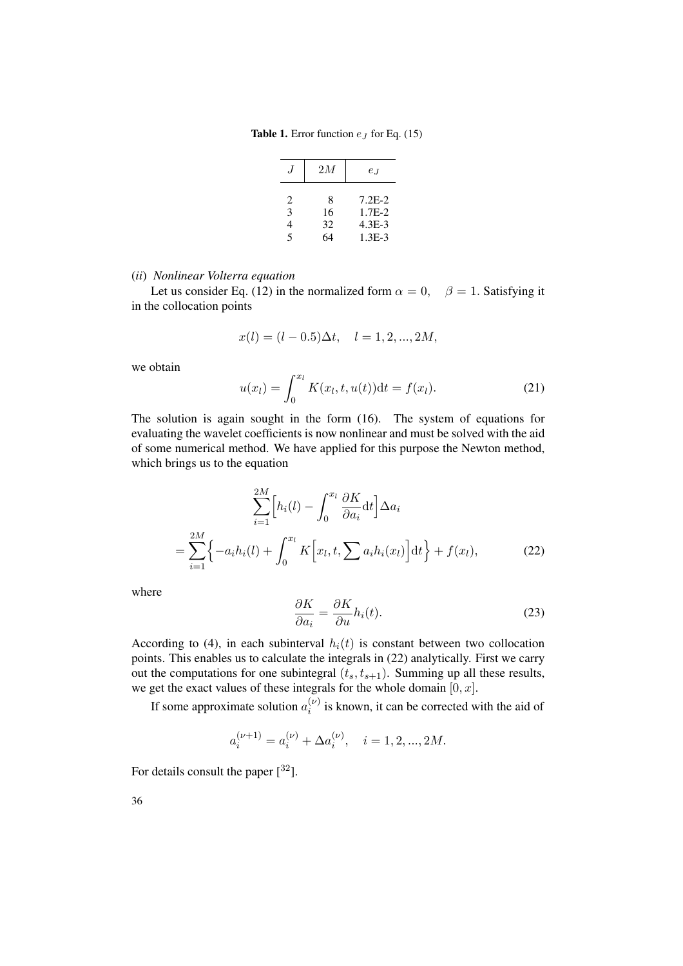**Table 1.** Error function  $e_J$  for Eq. (15)

|             | 2M            | $e_I$                               |
|-------------|---------------|-------------------------------------|
| 2<br>3<br>4 | 8<br>16<br>32 | $7.2E - 2.$<br>$1.7E-2$<br>$4.3E-3$ |
| 5           | 64            | $1.3E-3$                            |

(*ii*) *Nonlinear Volterra equation*

Let us consider Eq. (12) in the normalized form  $\alpha = 0$ ,  $\beta = 1$ . Satisfying it in the collocation points

$$
x(l) = (l - 0.5)\Delta t, \quad l = 1, 2, ..., 2M,
$$

we obtain

$$
u(x_l) = \int_0^{x_l} K(x_l, t, u(t)) dt = f(x_l).
$$
 (21)

The solution is again sought in the form (16). The system of equations for evaluating the wavelet coefficients is now nonlinear and must be solved with the aid of some numerical method. We have applied for this purpose the Newton method, which brings us to the equation

$$
\sum_{i=1}^{2M} \left[ h_i(l) - \int_0^{x_l} \frac{\partial K}{\partial a_i} dt \right] \Delta a_i
$$
  
= 
$$
\sum_{i=1}^{2M} \left\{ -a_i h_i(l) + \int_0^{x_l} K \left[ x_l, t, \sum a_i h_i(x_l) \right] dt \right\} + f(x_l),
$$
 (22)

where

$$
\frac{\partial K}{\partial a_i} = \frac{\partial K}{\partial u} h_i(t).
$$
\n(23)

According to (4), in each subinterval  $h_i(t)$  is constant between two collocation points. This enables us to calculate the integrals in (22) analytically. First we carry out the computations for one subintegral  $(t_s, t_{s+1})$ . Summing up all these results, we get the exact values of these integrals for the whole domain  $[0, x]$ .

If some approximate solution  $a_i^{(\nu)}$  $i^{(v)}$  is known, it can be corrected with the aid of

$$
a_i^{(\nu+1)} = a_i^{(\nu)} + \Delta a_i^{(\nu)}, \quad i = 1, 2, ..., 2M.
$$

For details consult the paper  $[32]$ .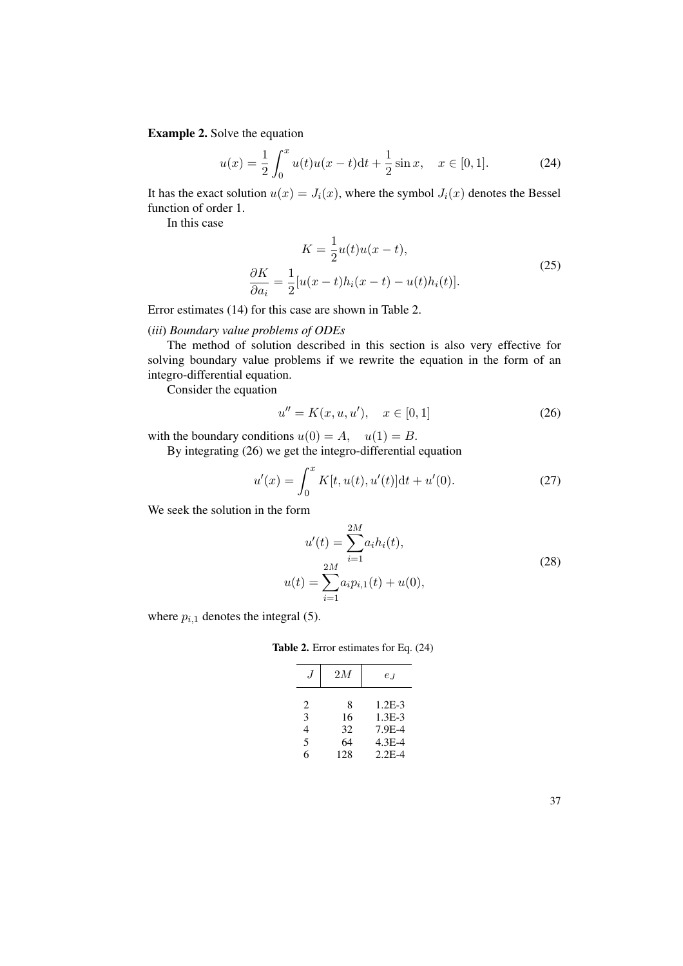Example 2. Solve the equation

$$
u(x) = \frac{1}{2} \int_0^x u(t)u(x-t)dt + \frac{1}{2}\sin x, \quad x \in [0,1].
$$
 (24)

It has the exact solution  $u(x) = J_i(x)$ , where the symbol  $J_i(x)$  denotes the Bessel function of order 1.

In this case

$$
K = \frac{1}{2}u(t)u(x-t),
$$
  
\n
$$
\frac{\partial K}{\partial a_i} = \frac{1}{2}[u(x-t)h_i(x-t) - u(t)h_i(t)].
$$
\n(25)

Error estimates (14) for this case are shown in Table 2.

#### (*iii*) *Boundary value problems of ODEs*

The method of solution described in this section is also very effective for solving boundary value problems if we rewrite the equation in the form of an integro-differential equation.

Consider the equation

$$
u'' = K(x, u, u'), \quad x \in [0, 1]
$$
 (26)

with the boundary conditions  $u(0) = A$ ,  $u(1) = B$ .

By integrating (26) we get the integro-differential equation

$$
u'(x) = \int_0^x K[t, u(t), u'(t)]dt + u'(0).
$$
 (27)

We seek the solution in the form

$$
u'(t) = \sum_{i=1}^{2M} a_i h_i(t),
$$
  

$$
u(t) = \sum_{i=1}^{2M} a_i p_{i,1}(t) + u(0),
$$
 (28)

where  $p_{i,1}$  denotes the integral (5).

Table 2. Error estimates for Eq. (24)

| .1 | 2M  | $e_I$    |
|----|-----|----------|
| 2  | 8   | $1.2E-3$ |
| 3  | 16  | $1.3E-3$ |
| 4  | 32  | 7.9E-4   |
| 5  | 64  | 4.3E-4   |
| 6  | 128 | $2.2E-4$ |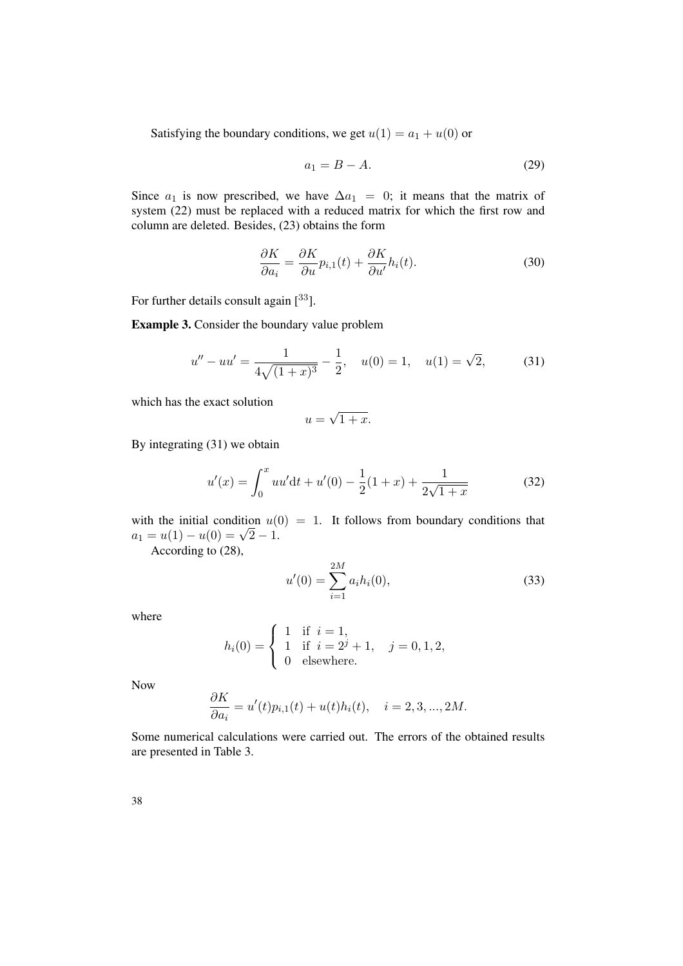Satisfying the boundary conditions, we get  $u(1) = a_1 + u(0)$  or

$$
a_1 = B - A.\t\t(29)
$$

Since  $a_1$  is now prescribed, we have  $\Delta a_1 = 0$ ; it means that the matrix of system (22) must be replaced with a reduced matrix for which the first row and column are deleted. Besides, (23) obtains the form

$$
\frac{\partial K}{\partial a_i} = \frac{\partial K}{\partial u} p_{i,1}(t) + \frac{\partial K}{\partial u'} h_i(t).
$$
\n(30)

For further details consult again  $[33]$ .

Example 3. Consider the boundary value problem

$$
u'' - uu' = \frac{1}{4\sqrt{(1+x)^3}} - \frac{1}{2}, \quad u(0) = 1, \quad u(1) = \sqrt{2}, \tag{31}
$$

which has the exact solution

$$
u = \sqrt{1 + x}.
$$

By integrating (31) we obtain

$$
u'(x) = \int_0^x uu' dt + u'(0) - \frac{1}{2}(1+x) + \frac{1}{2\sqrt{1+x}}
$$
(32)

with the initial condition  $u(0) = 1$ . It follows from boundary conditions that with the initial condition  $u_1$ <br>  $a_1 = u(1) - u(0) = \sqrt{2} - 1.$ 

According to (28),

$$
u'(0) = \sum_{i=1}^{2M} a_i h_i(0),
$$
\n(33)

where

$$
h_i(0) = \begin{cases} 1 & \text{if } i = 1, \\ 1 & \text{if } i = 2^j + 1, \\ 0 & \text{elsewhere.} \end{cases} \quad j = 0, 1, 2,
$$

Now

$$
\frac{\partial K}{\partial a_i} = u'(t)p_{i,1}(t) + u(t)h_i(t), \quad i = 2, 3, ..., 2M.
$$

Some numerical calculations were carried out. The errors of the obtained results are presented in Table 3.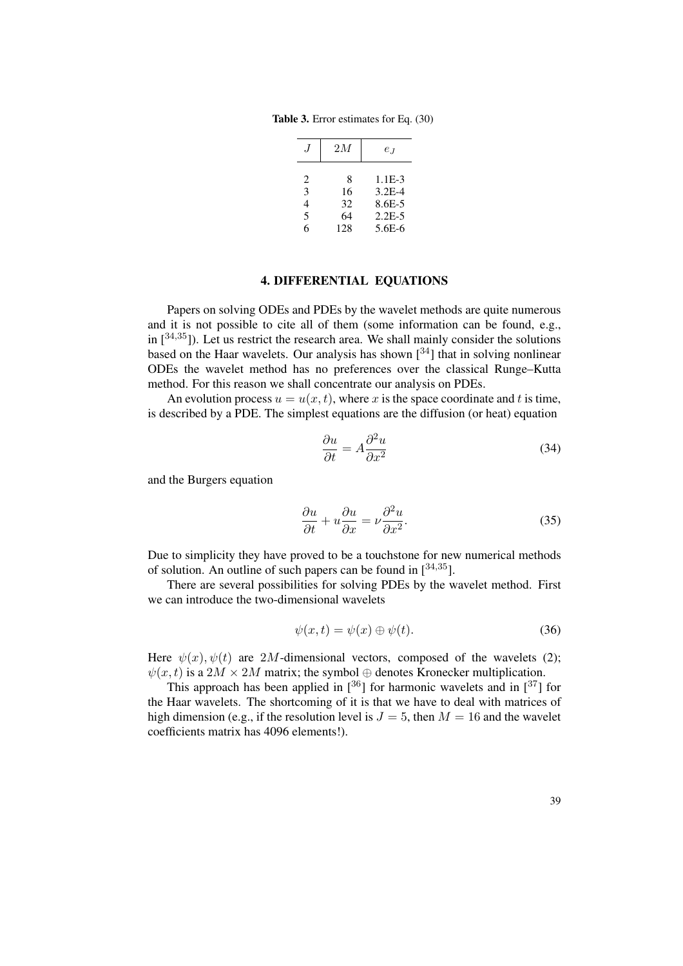Table 3. Error estimates for Eq. (30)

|   | 2M  | $e_I$      |
|---|-----|------------|
| 2 | 8   | $1.1E-3$   |
| 3 | 16  | $3.2E - 4$ |
| 4 | 32  | 8.6E-5     |
| 5 | 64  | $2.2E - 5$ |
| 6 | 128 | $5.6E-6$   |

## 4. DIFFERENTIAL EQUATIONS

Papers on solving ODEs and PDEs by the wavelet methods are quite numerous and it is not possible to cite all of them (some information can be found, e.g., in  $[34,35]$ ). Let us restrict the research area. We shall mainly consider the solutions based on the Haar wavelets. Our analysis has shown  $[34]$  that in solving nonlinear ODEs the wavelet method has no preferences over the classical Runge–Kutta method. For this reason we shall concentrate our analysis on PDEs.

An evolution process  $u = u(x, t)$ , where x is the space coordinate and t is time, is described by a PDE. The simplest equations are the diffusion (or heat) equation

$$
\frac{\partial u}{\partial t} = A \frac{\partial^2 u}{\partial x^2} \tag{34}
$$

and the Burgers equation

$$
\frac{\partial u}{\partial t} + u \frac{\partial u}{\partial x} = \nu \frac{\partial^2 u}{\partial x^2}.
$$
 (35)

Due to simplicity they have proved to be a touchstone for new numerical methods of solution. An outline of such papers can be found in  $[34,35]$ .

There are several possibilities for solving PDEs by the wavelet method. First we can introduce the two-dimensional wavelets

$$
\psi(x,t) = \psi(x) \oplus \psi(t). \tag{36}
$$

Here  $\psi(x)$ ,  $\psi(t)$  are 2M-dimensional vectors, composed of the wavelets (2);  $\psi(x, t)$  is a  $2M \times 2M$  matrix; the symbol  $\oplus$  denotes Kronecker multiplication.

This approach has been applied in  $\lceil 36 \rceil$  for harmonic wavelets and in  $\lceil 37 \rceil$  for the Haar wavelets. The shortcoming of it is that we have to deal with matrices of high dimension (e.g., if the resolution level is  $J = 5$ , then  $M = 16$  and the wavelet coefficients matrix has 4096 elements!).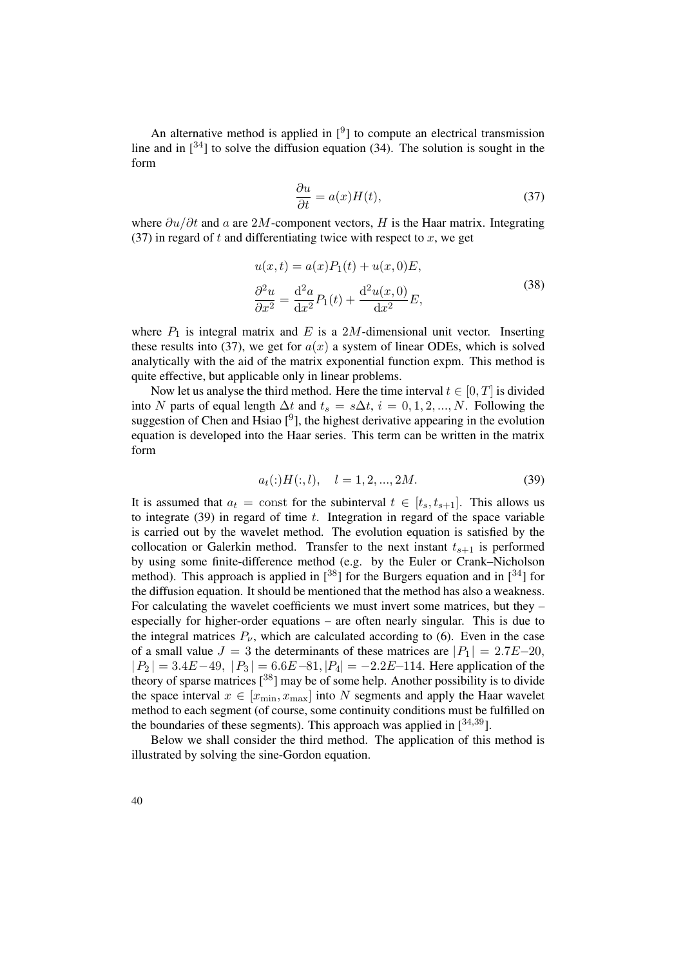An alternative method is applied in  $[<sup>9</sup>]$  to compute an electrical transmission line and in  $[34]$  to solve the diffusion equation (34). The solution is sought in the form

$$
\frac{\partial u}{\partial t} = a(x)H(t),\tag{37}
$$

where  $\partial u/\partial t$  and a are 2M-component vectors, H is the Haar matrix. Integrating (37) in regard of t and differentiating twice with respect to  $x$ , we get

$$
u(x,t) = a(x)P_1(t) + u(x,0)E,
$$
  
\n
$$
\frac{\partial^2 u}{\partial x^2} = \frac{\mathrm{d}^2 a}{\mathrm{d}x^2}P_1(t) + \frac{\mathrm{d}^2 u(x,0)}{\mathrm{d}x^2}E,
$$
\n(38)

where  $P_1$  is integral matrix and E is a 2M-dimensional unit vector. Inserting these results into (37), we get for  $a(x)$  a system of linear ODEs, which is solved analytically with the aid of the matrix exponential function expm. This method is quite effective, but applicable only in linear problems.

Now let us analyse the third method. Here the time interval  $t \in [0, T]$  is divided into N parts of equal length  $\Delta t$  and  $t_s = s\Delta t$ ,  $i = 0, 1, 2, ..., N$ . Following the suggestion of Chen and Hsiao  $[<sup>9</sup>]$ , the highest derivative appearing in the evolution equation is developed into the Haar series. This term can be written in the matrix form

$$
a_t(:)H(:,l), \quad l=1,2,...,2M.
$$
\n(39)

It is assumed that  $a_t = \text{const}$  for the subinterval  $t \in [t_s, t_{s+1}]$ . This allows us to integrate  $(39)$  in regard of time t. Integration in regard of the space variable is carried out by the wavelet method. The evolution equation is satisfied by the collocation or Galerkin method. Transfer to the next instant  $t_{s+1}$  is performed by using some finite-difference method (e.g. by the Euler or Crank–Nicholson method). This approach is applied in  $\lceil 38 \rceil$  for the Burgers equation and in  $\lceil 34 \rceil$  for the diffusion equation. It should be mentioned that the method has also a weakness. For calculating the wavelet coefficients we must invert some matrices, but they – especially for higher-order equations – are often nearly singular. This is due to the integral matrices  $P_{\nu}$ , which are calculated according to (6). Even in the case of a small value  $J = 3$  the determinants of these matrices are  $|P_1| = 2.7E - 20$ ,  $|P_2| = 3.4E-49, |P_3| = 6.6E-81, |P_4| = -2.2E-114.$  Here application of the theory of sparse matrices  $[38]$  may be of some help. Another possibility is to divide the space interval  $x \in [x_{\min}, x_{\max}]$  into N segments and apply the Haar wavelet method to each segment (of course, some continuity conditions must be fulfilled on the boundaries of these segments). This approach was applied in  $[34,39]$ .

Below we shall consider the third method. The application of this method is illustrated by solving the sine-Gordon equation.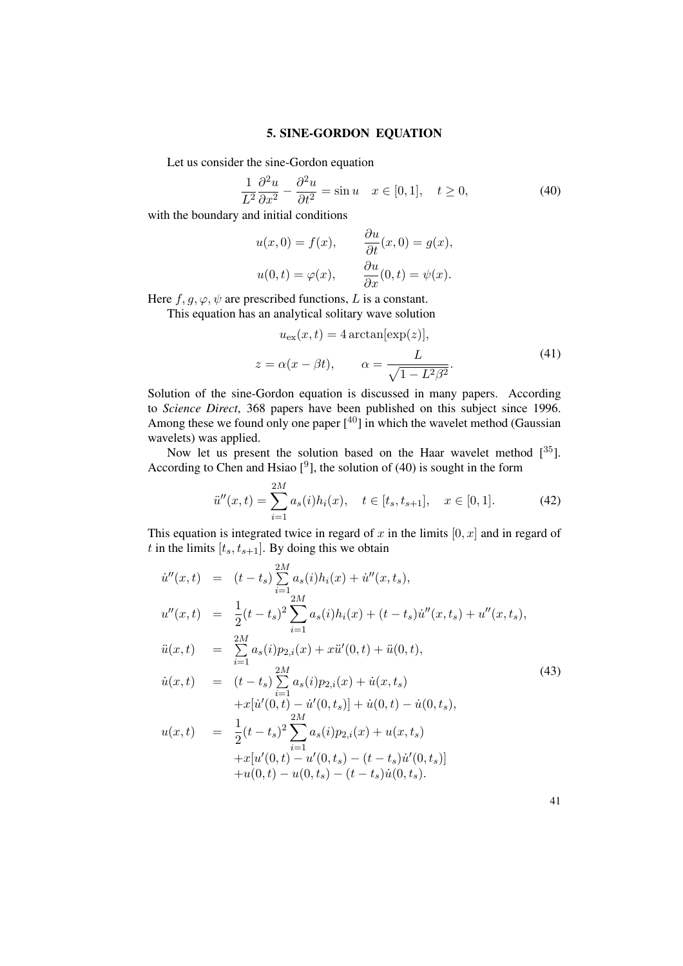#### 5. SINE-GORDON EQUATION

Let us consider the sine-Gordon equation

$$
\frac{1}{L^2} \frac{\partial^2 u}{\partial x^2} - \frac{\partial^2 u}{\partial t^2} = \sin u \quad x \in [0, 1], \quad t \ge 0,
$$
\n(40)

with the boundary and initial conditions

$$
u(x, 0) = f(x), \qquad \frac{\partial u}{\partial t}(x, 0) = g(x),
$$
  

$$
u(0, t) = \varphi(x), \qquad \frac{\partial u}{\partial x}(0, t) = \psi(x).
$$

Here  $f, g, \varphi, \psi$  are prescribed functions, L is a constant.

This equation has an analytical solitary wave solution

$$
u_{\text{ex}}(x,t) = 4 \arctan[\exp(z)],
$$
  

$$
z = \alpha(x - \beta t), \qquad \alpha = \frac{L}{\sqrt{1 - L^2 \beta^2}}.
$$
 (41)

Solution of the sine-Gordon equation is discussed in many papers. According to *Science Direct*, 368 papers have been published on this subject since 1996. Among these we found only one paper  $[40]$  in which the wavelet method (Gaussian wavelets) was applied.

Now let us present the solution based on the Haar wavelet method  $[35]$ . According to Chen and Hsiao  $[<sup>9</sup>]$ , the solution of (40) is sought in the form

$$
\ddot{u}''(x,t) = \sum_{i=1}^{2M} a_s(i)h_i(x), \quad t \in [t_s, t_{s+1}], \quad x \in [0,1]. \tag{42}
$$

This equation is integrated twice in regard of x in the limits  $[0, x]$  and in regard of t in the limits  $[t_s, t_{s+1}]$ . By doing this we obtain

$$
\dot{u}''(x,t) = (t - t_s) \sum_{i=1}^{2M} a_s(i)h_i(x) + \dot{u}''(x, t_s),
$$
  
\n
$$
u''(x,t) = \frac{1}{2}(t - t_s)^2 \sum_{i=1}^{2M} a_s(i)h_i(x) + (t - t_s)\dot{u}''(x, t_s) + u''(x, t_s),
$$
  
\n
$$
\ddot{u}(x,t) = \sum_{i=1}^{2M} a_s(i)p_{2,i}(x) + x\ddot{u}'(0, t) + \ddot{u}(0, t),
$$
  
\n
$$
\dot{u}(x,t) = (t - t_s) \sum_{i=1}^{2M} a_s(i)p_{2,i}(x) + \dot{u}(x, t_s)
$$
  
\n
$$
+ x[\dot{u}'(0, t) - \dot{u}'(0, t_s)] + \dot{u}(0, t) - \dot{u}(0, t_s),
$$
  
\n
$$
u(x,t) = \frac{1}{2}(t - t_s)^2 \sum_{i=1}^{2M} a_s(i)p_{2,i}(x) + u(x, t_s)
$$
  
\n
$$
+ x[u'(0, t) - u'(0, t_s) - (t - t_s)\dot{u}'(0, t_s)]
$$
  
\n
$$
+ u(0, t) - u(0, t_s) - (t - t_s)\dot{u}(0, t_s).
$$
\n(M.1)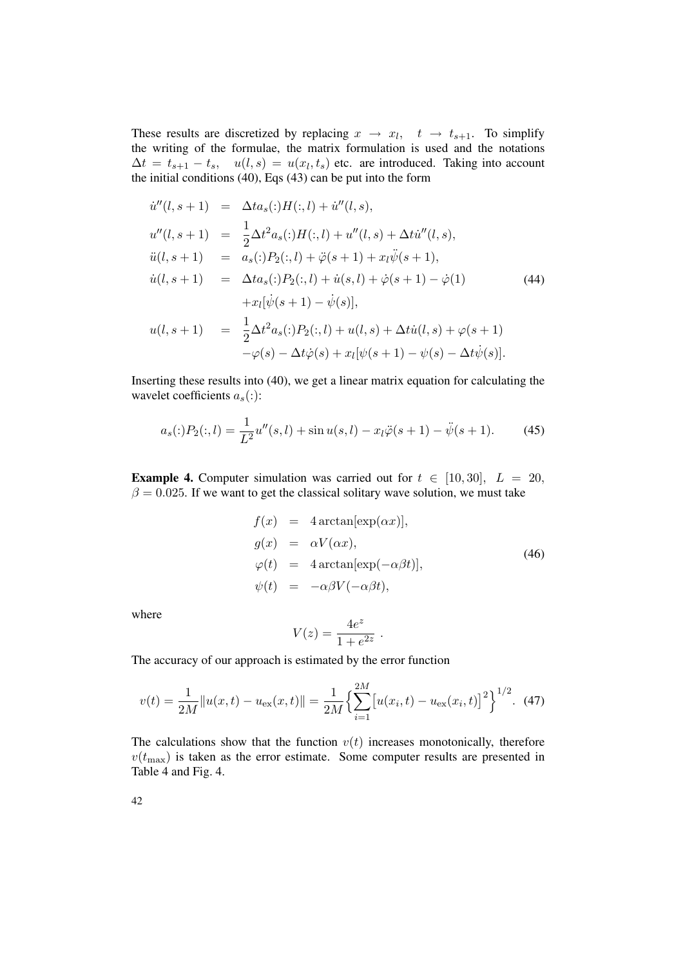These results are discretized by replacing  $x \to x_l$ ,  $t \to t_{s+1}$ . To simplify the writing of the formulae, the matrix formulation is used and the notations  $\Delta t = t_{s+1} - t_s$ ,  $u(l, s) = u(x_l, t_s)$  etc. are introduced. Taking into account the initial conditions (40), Eqs (43) can be put into the form

$$
\dot{u}''(l, s + 1) = \Delta t a_s(:,)H(:, l) + \dot{u}''(l, s),
$$
  
\n
$$
u''(l, s + 1) = \frac{1}{2}\Delta t^2 a_s(:,)H(:, l) + u''(l, s) + \Delta t \dot{u}''(l, s),
$$
  
\n
$$
\ddot{u}(l, s + 1) = a_s(:,)P_2(:, l) + \ddot{\varphi}(s + 1) + x_l \ddot{\psi}(s + 1),
$$
  
\n
$$
\dot{u}(l, s + 1) = \Delta t a_s(:,)P_2(:, l) + \dot{u}(s, l) + \dot{\varphi}(s + 1) - \dot{\varphi}(1)
$$
  
\n
$$
+ x_l[\dot{\psi}(s + 1) - \dot{\psi}(s)],
$$
  
\n
$$
u(l, s + 1) = \frac{1}{2}\Delta t^2 a_s(:,)P_2(:, l) + u(l, s) + \Delta t \dot{u}(l, s) + \varphi(s + 1)
$$
  
\n
$$
-\varphi(s) - \Delta t \dot{\varphi}(s) + x_l[\psi(s + 1) - \psi(s) - \Delta t \dot{\psi}(s)].
$$
\n(44)

Inserting these results into (40), we get a linear matrix equation for calculating the wavelet coefficients  $a_s$ (:):

$$
a_s(:)P_2(:,l) = \frac{1}{L^2}u''(s,l) + \sin u(s,l) - x_l\ddot{\varphi}(s+1) - \ddot{\psi}(s+1). \tag{45}
$$

**Example 4.** Computer simulation was carried out for  $t \in [10, 30]$ ,  $L = 20$ ,  $\beta = 0.025$ . If we want to get the classical solitary wave solution, we must take

$$
f(x) = 4 \arctan[\exp(\alpha x)],
$$
  
\n
$$
g(x) = \alpha V(\alpha x),
$$
  
\n
$$
\varphi(t) = 4 \arctan[\exp(-\alpha \beta t)],
$$
  
\n
$$
\psi(t) = -\alpha \beta V(-\alpha \beta t),
$$
\n(46)

where

$$
V(z) = \frac{4e^z}{1 + e^{2z}}.
$$

The accuracy of our approach is estimated by the error function

$$
v(t) = \frac{1}{2M} ||u(x,t) - u_{\text{ex}}(x,t)|| = \frac{1}{2M} \left\{ \sum_{i=1}^{2M} \left[ u(x_i, t) - u_{\text{ex}}(x_i, t) \right]^2 \right\}^{1/2}.
$$
 (47)

The calculations show that the function  $v(t)$  increases monotonically, therefore  $v(t_{\text{max}})$  is taken as the error estimate. Some computer results are presented in Table 4 and Fig. 4.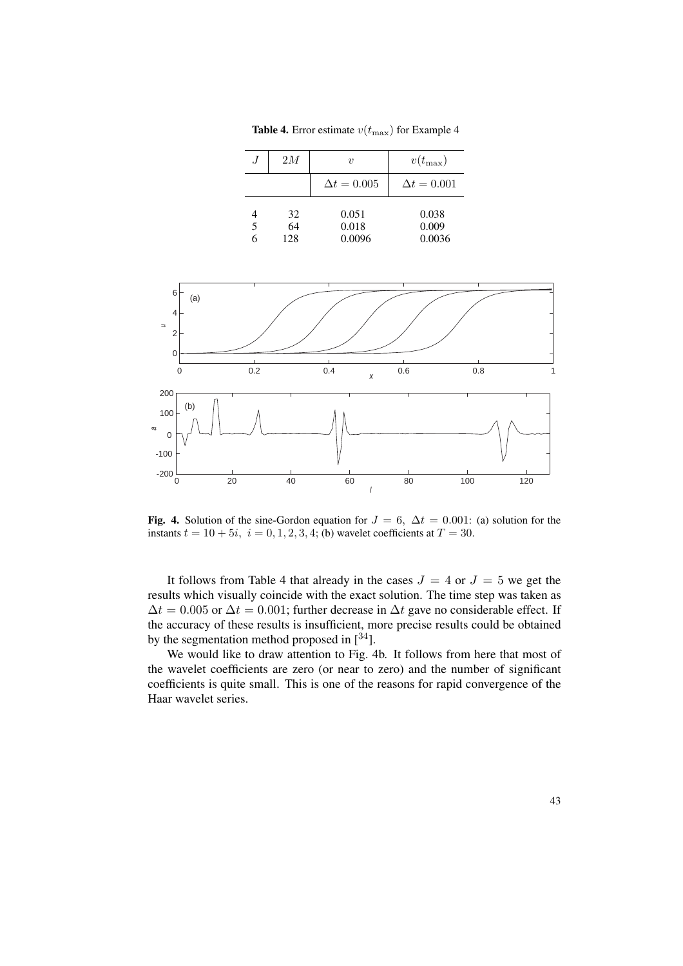**Table 4.** Error estimate  $v(t_{\text{max}})$  for Example 4

| J | 2M        | $\boldsymbol{\eta}$ | $v(t_{\max})$      |
|---|-----------|---------------------|--------------------|
|   |           | $\Delta t = 0.005$  | $\Delta t = 0.001$ |
|   | 32        | 0.051               | 0.038              |
| 5 | 64<br>128 | 0.018<br>0.0096     | 0.009<br>0.0036    |



Fig. 4. Solution of the sine-Gordon equation for  $J = 6$ ,  $\Delta t = 0.001$ : (a) solution for the instants  $t = 10 + 5i$ ,  $i = 0, 1, 2, 3, 4$ ; (b) wavelet coefficients at  $T = 30$ .

It follows from Table 4 that already in the cases  $J = 4$  or  $J = 5$  we get the results which visually coincide with the exact solution. The time step was taken as  $\Delta t = 0.005$  or  $\Delta t = 0.001$ ; further decrease in  $\Delta t$  gave no considerable effect. If the accuracy of these results is insufficient, more precise results could be obtained by the segmentation method proposed in  $[34]$ .

We would like to draw attention to Fig. 4b. It follows from here that most of the wavelet coefficients are zero (or near to zero) and the number of significant coefficients is quite small. This is one of the reasons for rapid convergence of the Haar wavelet series.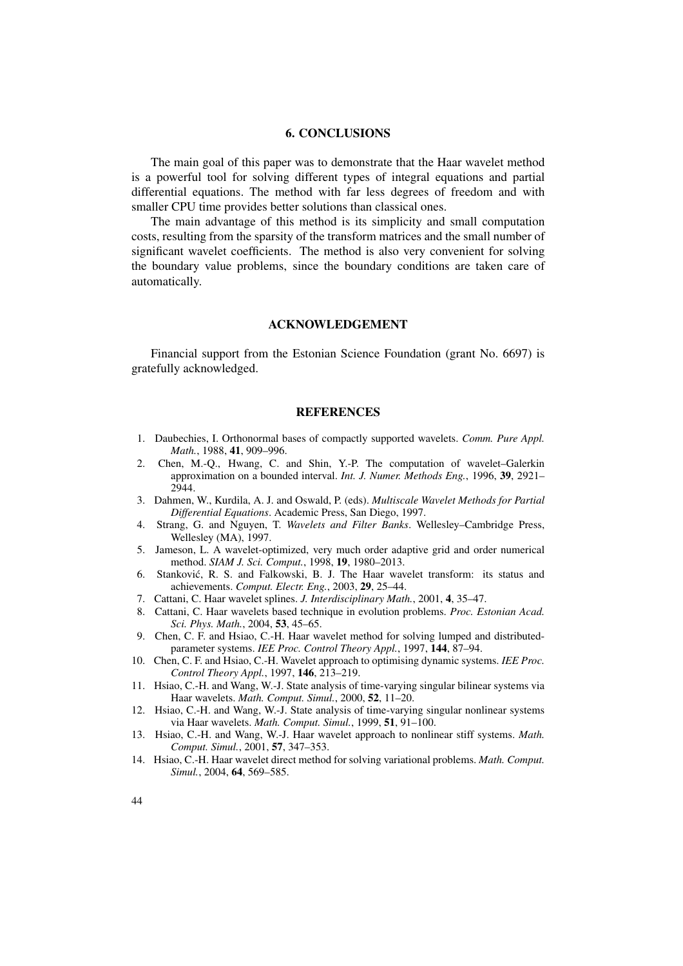### 6. CONCLUSIONS

The main goal of this paper was to demonstrate that the Haar wavelet method is a powerful tool for solving different types of integral equations and partial differential equations. The method with far less degrees of freedom and with smaller CPU time provides better solutions than classical ones.

The main advantage of this method is its simplicity and small computation costs, resulting from the sparsity of the transform matrices and the small number of significant wavelet coefficients. The method is also very convenient for solving the boundary value problems, since the boundary conditions are taken care of automatically.

#### ACKNOWLEDGEMENT

Financial support from the Estonian Science Foundation (grant No. 6697) is gratefully acknowledged.

#### **REFERENCES**

- 1. Daubechies, I. Orthonormal bases of compactly supported wavelets. *Comm. Pure Appl. Math.*, 1988, 41, 909–996.
- 2. Chen, M.-Q., Hwang, C. and Shin, Y.-P. The computation of wavelet–Galerkin approximation on a bounded interval. *Int. J. Numer. Methods Eng.*, 1996, 39, 2921– 2944.
- 3. Dahmen, W., Kurdila, A. J. and Oswald, P. (eds). *Multiscale Wavelet Methods for Partial Differential Equations*. Academic Press, San Diego, 1997.
- 4. Strang, G. and Nguyen, T. *Wavelets and Filter Banks*. Wellesley–Cambridge Press, Wellesley (MA), 1997.
- 5. Jameson, L. A wavelet-optimized, very much order adaptive grid and order numerical method. *SIAM J. Sci. Comput.*, 1998, 19, 1980–2013.
- 6. Stankovic, R. S. and Falkowski, B. J. The Haar wavelet transform: its status and ´ achievements. *Comput. Electr. Eng.*, 2003, 29, 25–44.
- 7. Cattani, C. Haar wavelet splines. *J. Interdisciplinary Math.*, 2001, 4, 35–47.
- 8. Cattani, C. Haar wavelets based technique in evolution problems. *Proc. Estonian Acad. Sci. Phys. Math.*, 2004, 53, 45–65.
- 9. Chen, C. F. and Hsiao, C.-H. Haar wavelet method for solving lumped and distributedparameter systems. *IEE Proc. Control Theory Appl.*, 1997, 144, 87–94.
- 10. Chen, C. F. and Hsiao, C.-H. Wavelet approach to optimising dynamic systems. *IEE Proc. Control Theory Appl.*, 1997, 146, 213–219.
- 11. Hsiao, C.-H. and Wang, W.-J. State analysis of time-varying singular bilinear systems via Haar wavelets. *Math. Comput. Simul.*, 2000, 52, 11–20.
- 12. Hsiao, C.-H. and Wang, W.-J. State analysis of time-varying singular nonlinear systems via Haar wavelets. *Math. Comput. Simul.*, 1999, 51, 91–100.
- 13. Hsiao, C.-H. and Wang, W.-J. Haar wavelet approach to nonlinear stiff systems. *Math. Comput. Simul.*, 2001, 57, 347–353.
- 14. Hsiao, C.-H. Haar wavelet direct method for solving variational problems. *Math. Comput. Simul.*, 2004, 64, 569–585.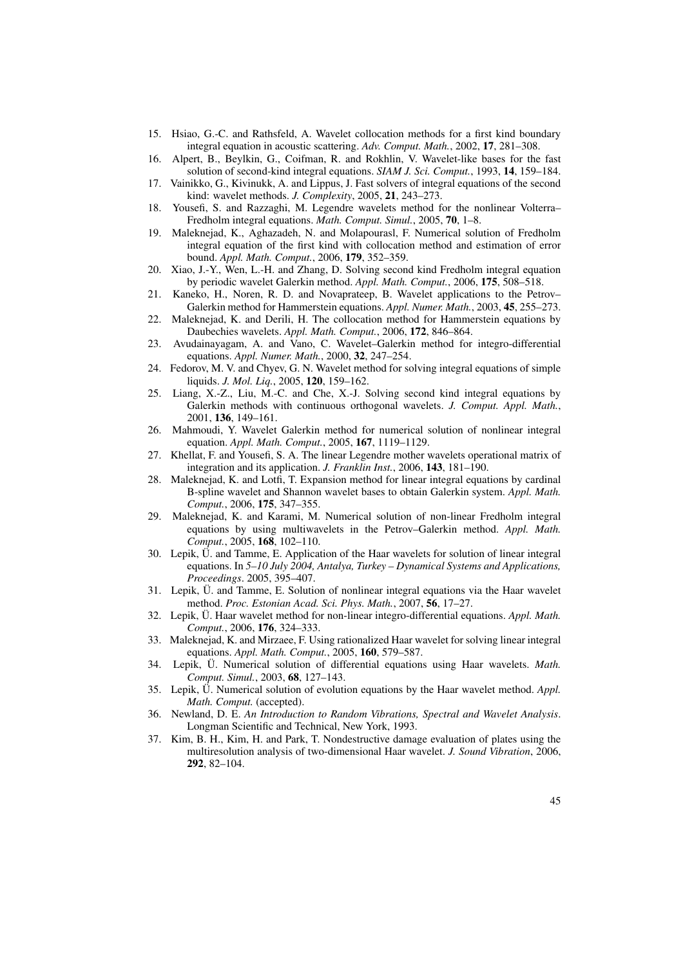- 15. Hsiao, G.-C. and Rathsfeld, A. Wavelet collocation methods for a first kind boundary integral equation in acoustic scattering. *Adv. Comput. Math.*, 2002, 17, 281–308.
- 16. Alpert, B., Beylkin, G., Coifman, R. and Rokhlin, V. Wavelet-like bases for the fast solution of second-kind integral equations. *SIAM J. Sci. Comput.*, 1993, 14, 159–184.
- 17. Vainikko, G., Kivinukk, A. and Lippus, J. Fast solvers of integral equations of the second kind: wavelet methods. *J. Complexity*, 2005, 21, 243–273.
- 18. Yousefi, S. and Razzaghi, M. Legendre wavelets method for the nonlinear Volterra– Fredholm integral equations. *Math. Comput. Simul.*, 2005, 70, 1–8.
- 19. Maleknejad, K., Aghazadeh, N. and Molapourasl, F. Numerical solution of Fredholm integral equation of the first kind with collocation method and estimation of error bound. *Appl. Math. Comput.*, 2006, 179, 352–359.
- 20. Xiao, J.-Y., Wen, L.-H. and Zhang, D. Solving second kind Fredholm integral equation by periodic wavelet Galerkin method. *Appl. Math. Comput.*, 2006, 175, 508–518.
- 21. Kaneko, H., Noren, R. D. and Novaprateep, B. Wavelet applications to the Petrov– Galerkin method for Hammerstein equations. *Appl. Numer. Math.*, 2003, 45, 255–273.
- 22. Maleknejad, K. and Derili, H. The collocation method for Hammerstein equations by Daubechies wavelets. *Appl. Math. Comput.*, 2006, 172, 846–864.
- 23. Avudainayagam, A. and Vano, C. Wavelet–Galerkin method for integro-differential equations. *Appl. Numer. Math.*, 2000, 32, 247–254.
- 24. Fedorov, M. V. and Chyev, G. N. Wavelet method for solving integral equations of simple liquids. *J. Mol. Liq.*, 2005, 120, 159–162.
- 25. Liang, X.-Z., Liu, M.-C. and Che, X.-J. Solving second kind integral equations by Galerkin methods with continuous orthogonal wavelets. *J. Comput. Appl. Math.*, 2001, 136, 149–161.
- 26. Mahmoudi, Y. Wavelet Galerkin method for numerical solution of nonlinear integral equation. *Appl. Math. Comput.*, 2005, 167, 1119–1129.
- 27. Khellat, F. and Yousefi, S. A. The linear Legendre mother wavelets operational matrix of integration and its application. *J. Franklin Inst.*, 2006, 143, 181–190.
- 28. Maleknejad, K. and Lotfi, T. Expansion method for linear integral equations by cardinal B-spline wavelet and Shannon wavelet bases to obtain Galerkin system. *Appl. Math. Comput.*, 2006, 175, 347–355.
- 29. Maleknejad, K. and Karami, M. Numerical solution of non-linear Fredholm integral equations by using multiwavelets in the Petrov–Galerkin method. *Appl. Math. Comput.*, 2005, 168, 102–110.
- 30. Lepik, Ü. and Tamme, E. Application of the Haar wavelets for solution of linear integral equations. In *5–10 July 2004, Antalya, Turkey – Dynamical Systems and Applications, Proceedings*. 2005, 395–407.
- 31. Lepik, Ü. and Tamme, E. Solution of nonlinear integral equations via the Haar wavelet method. *Proc. Estonian Acad. Sci. Phys. Math.*, 2007, 56, 17–27.
- 32. Lepik, Ü. Haar wavelet method for non-linear integro-differential equations. *Appl. Math. Comput.*, 2006, 176, 324–333.
- 33. Maleknejad, K. and Mirzaee, F. Using rationalized Haar wavelet for solving linear integral equations. *Appl. Math. Comput.*, 2005, 160, 579–587.
- 34. Lepik, Ü. Numerical solution of differential equations using Haar wavelets. *Math. Comput. Simul.*, 2003, 68, 127–143.
- 35. Lepik, Ü. Numerical solution of evolution equations by the Haar wavelet method. *Appl. Math. Comput.* (accepted).
- 36. Newland, D. E. *An Introduction to Random Vibrations, Spectral and Wavelet Analysis*. Longman Scientific and Technical, New York, 1993.
- 37. Kim, B. H., Kim, H. and Park, T. Nondestructive damage evaluation of plates using the multiresolution analysis of two-dimensional Haar wavelet. *J. Sound Vibration*, 2006, 292, 82–104.